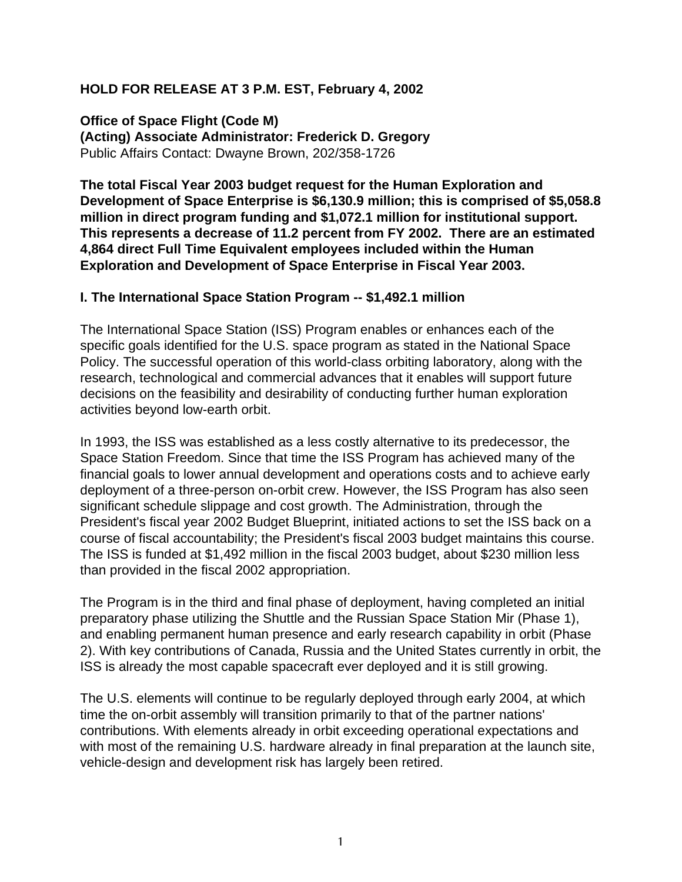## **HOLD FOR RELEASE AT 3 P.M. EST, February 4, 2002**

**Office of Space Flight (Code M) (Acting) Associate Administrator: Frederick D. Gregory** Public Affairs Contact: Dwayne Brown, 202/358-1726

**The total Fiscal Year 2003 budget request for the Human Exploration and Development of Space Enterprise is \$6,130.9 million; this is comprised of \$5,058.8 million in direct program funding and \$1,072.1 million for institutional support. This represents a decrease of 11.2 percent from FY 2002. There are an estimated 4,864 direct Full Time Equivalent employees included within the Human Exploration and Development of Space Enterprise in Fiscal Year 2003.**

### **I. The International Space Station Program -- \$1,492.1 million**

The International Space Station (ISS) Program enables or enhances each of the specific goals identified for the U.S. space program as stated in the National Space Policy. The successful operation of this world-class orbiting laboratory, along with the research, technological and commercial advances that it enables will support future decisions on the feasibility and desirability of conducting further human exploration activities beyond low-earth orbit.

In 1993, the ISS was established as a less costly alternative to its predecessor, the Space Station Freedom. Since that time the ISS Program has achieved many of the financial goals to lower annual development and operations costs and to achieve early deployment of a three-person on-orbit crew. However, the ISS Program has also seen significant schedule slippage and cost growth. The Administration, through the President's fiscal year 2002 Budget Blueprint, initiated actions to set the ISS back on a course of fiscal accountability; the President's fiscal 2003 budget maintains this course. The ISS is funded at \$1,492 million in the fiscal 2003 budget, about \$230 million less than provided in the fiscal 2002 appropriation.

The Program is in the third and final phase of deployment, having completed an initial preparatory phase utilizing the Shuttle and the Russian Space Station Mir (Phase 1), and enabling permanent human presence and early research capability in orbit (Phase 2). With key contributions of Canada, Russia and the United States currently in orbit, the ISS is already the most capable spacecraft ever deployed and it is still growing.

The U.S. elements will continue to be regularly deployed through early 2004, at which time the on-orbit assembly will transition primarily to that of the partner nations' contributions. With elements already in orbit exceeding operational expectations and with most of the remaining U.S. hardware already in final preparation at the launch site, vehicle-design and development risk has largely been retired.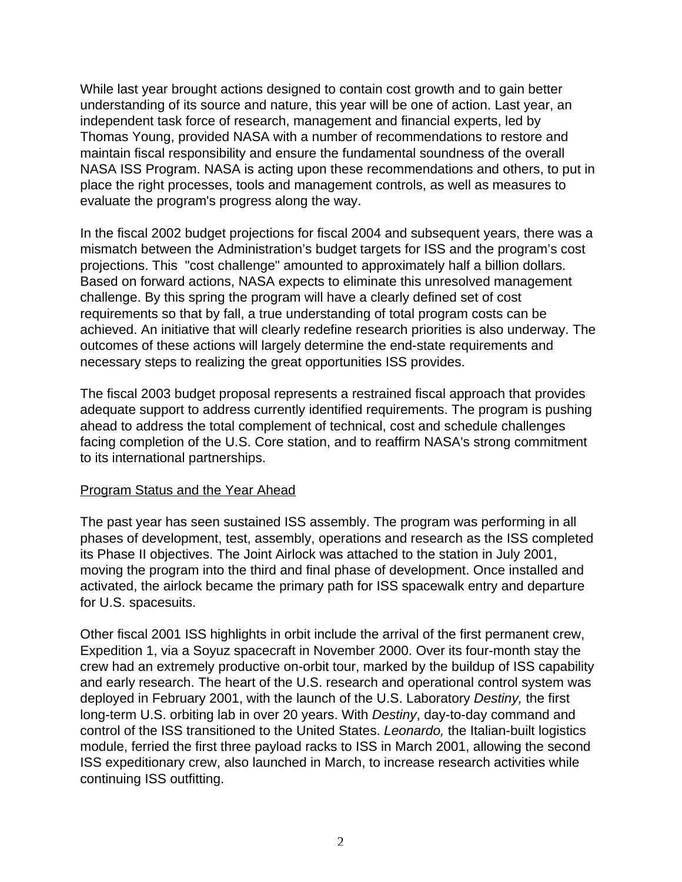While last year brought actions designed to contain cost growth and to gain better understanding of its source and nature, this year will be one of action. Last year, an independent task force of research, management and financial experts, led by Thomas Young, provided NASA with a number of recommendations to restore and maintain fiscal responsibility and ensure the fundamental soundness of the overall NASA ISS Program. NASA is acting upon these recommendations and others, to put in place the right processes, tools and management controls, as well as measures to evaluate the program's progress along the way.

In the fiscal 2002 budget projections for fiscal 2004 and subsequent years, there was a mismatch between the Administration's budget targets for ISS and the program's cost projections. This "cost challenge" amounted to approximately half a billion dollars. Based on forward actions, NASA expects to eliminate this unresolved management challenge. By this spring the program will have a clearly defined set of cost requirements so that by fall, a true understanding of total program costs can be achieved. An initiative that will clearly redefine research priorities is also underway. The outcomes of these actions will largely determine the end-state requirements and necessary steps to realizing the great opportunities ISS provides.

The fiscal 2003 budget proposal represents a restrained fiscal approach that provides adequate support to address currently identified requirements. The program is pushing ahead to address the total complement of technical, cost and schedule challenges facing completion of the U.S. Core station, and to reaffirm NASA's strong commitment to its international partnerships.

### Program Status and the Year Ahead

The past year has seen sustained ISS assembly. The program was performing in all phases of development, test, assembly, operations and research as the ISS completed its Phase II objectives. The Joint Airlock was attached to the station in July 2001, moving the program into the third and final phase of development. Once installed and activated, the airlock became the primary path for ISS spacewalk entry and departure for U.S. spacesuits.

Other fiscal 2001 ISS highlights in orbit include the arrival of the first permanent crew, Expedition 1, via a Soyuz spacecraft in November 2000. Over its four-month stay the crew had an extremely productive on-orbit tour, marked by the buildup of ISS capability and early research. The heart of the U.S. research and operational control system was deployed in February 2001, with the launch of the U.S. Laboratory Destiny, the first long-term U.S. orbiting lab in over 20 years. With Destiny, day-to-day command and control of the ISS transitioned to the United States. Leonardo, the Italian-built logistics module, ferried the first three payload racks to ISS in March 2001, allowing the second ISS expeditionary crew, also launched in March, to increase research activities while continuing ISS outfitting.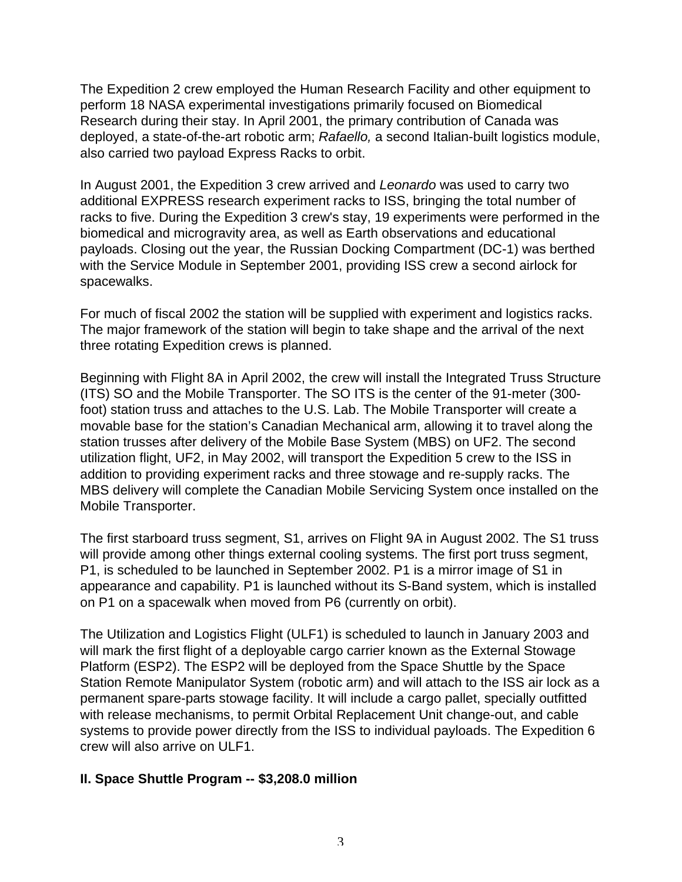The Expedition 2 crew employed the Human Research Facility and other equipment to perform 18 NASA experimental investigations primarily focused on Biomedical Research during their stay. In April 2001, the primary contribution of Canada was deployed, a state-of-the-art robotic arm; Rafaello, a second Italian-built logistics module, also carried two payload Express Racks to orbit.

In August 2001, the Expedition 3 crew arrived and Leonardo was used to carry two additional EXPRESS research experiment racks to ISS, bringing the total number of racks to five. During the Expedition 3 crew's stay, 19 experiments were performed in the biomedical and microgravity area, as well as Earth observations and educational payloads. Closing out the year, the Russian Docking Compartment (DC-1) was berthed with the Service Module in September 2001, providing ISS crew a second airlock for spacewalks.

For much of fiscal 2002 the station will be supplied with experiment and logistics racks. The major framework of the station will begin to take shape and the arrival of the next three rotating Expedition crews is planned.

Beginning with Flight 8A in April 2002, the crew will install the Integrated Truss Structure (ITS) SO and the Mobile Transporter. The SO ITS is the center of the 91-meter (300 foot) station truss and attaches to the U.S. Lab. The Mobile Transporter will create a movable base for the station's Canadian Mechanical arm, allowing it to travel along the station trusses after delivery of the Mobile Base System (MBS) on UF2. The second utilization flight, UF2, in May 2002, will transport the Expedition 5 crew to the ISS in addition to providing experiment racks and three stowage and re-supply racks. The MBS delivery will complete the Canadian Mobile Servicing System once installed on the Mobile Transporter.

The first starboard truss segment, S1, arrives on Flight 9A in August 2002. The S1 truss will provide among other things external cooling systems. The first port truss segment, P1, is scheduled to be launched in September 2002. P1 is a mirror image of S1 in appearance and capability. P1 is launched without its S-Band system, which is installed on P1 on a spacewalk when moved from P6 (currently on orbit).

The Utilization and Logistics Flight (ULF1) is scheduled to launch in January 2003 and will mark the first flight of a deployable cargo carrier known as the External Stowage Platform (ESP2). The ESP2 will be deployed from the Space Shuttle by the Space Station Remote Manipulator System (robotic arm) and will attach to the ISS air lock as a permanent spare-parts stowage facility. It will include a cargo pallet, specially outfitted with release mechanisms, to permit Orbital Replacement Unit change-out, and cable systems to provide power directly from the ISS to individual payloads. The Expedition 6 crew will also arrive on ULF1.

# **II. Space Shuttle Program -- \$3,208.0 million**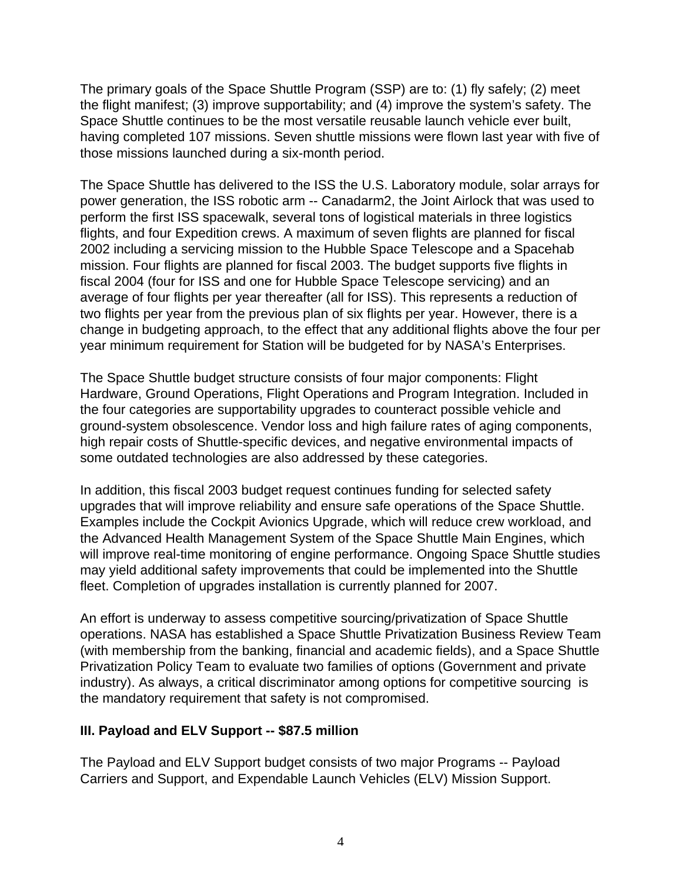The primary goals of the Space Shuttle Program (SSP) are to: (1) fly safely; (2) meet the flight manifest; (3) improve supportability; and (4) improve the system's safety. The Space Shuttle continues to be the most versatile reusable launch vehicle ever built, having completed 107 missions. Seven shuttle missions were flown last year with five of those missions launched during a six-month period.

The Space Shuttle has delivered to the ISS the U.S. Laboratory module, solar arrays for power generation, the ISS robotic arm -- Canadarm2, the Joint Airlock that was used to perform the first ISS spacewalk, several tons of logistical materials in three logistics flights, and four Expedition crews. A maximum of seven flights are planned for fiscal 2002 including a servicing mission to the Hubble Space Telescope and a Spacehab mission. Four flights are planned for fiscal 2003. The budget supports five flights in fiscal 2004 (four for ISS and one for Hubble Space Telescope servicing) and an average of four flights per year thereafter (all for ISS). This represents a reduction of two flights per year from the previous plan of six flights per year. However, there is a change in budgeting approach, to the effect that any additional flights above the four per year minimum requirement for Station will be budgeted for by NASA's Enterprises.

The Space Shuttle budget structure consists of four major components: Flight Hardware, Ground Operations, Flight Operations and Program Integration. Included in the four categories are supportability upgrades to counteract possible vehicle and ground-system obsolescence. Vendor loss and high failure rates of aging components, high repair costs of Shuttle-specific devices, and negative environmental impacts of some outdated technologies are also addressed by these categories.

In addition, this fiscal 2003 budget request continues funding for selected safety upgrades that will improve reliability and ensure safe operations of the Space Shuttle. Examples include the Cockpit Avionics Upgrade, which will reduce crew workload, and the Advanced Health Management System of the Space Shuttle Main Engines, which will improve real-time monitoring of engine performance. Ongoing Space Shuttle studies may yield additional safety improvements that could be implemented into the Shuttle fleet. Completion of upgrades installation is currently planned for 2007.

An effort is underway to assess competitive sourcing/privatization of Space Shuttle operations. NASA has established a Space Shuttle Privatization Business Review Team (with membership from the banking, financial and academic fields), and a Space Shuttle Privatization Policy Team to evaluate two families of options (Government and private industry). As always, a critical discriminator among options for competitive sourcing is the mandatory requirement that safety is not compromised.

# **III. Payload and ELV Support -- \$87.5 million**

The Payload and ELV Support budget consists of two major Programs -- Payload Carriers and Support, and Expendable Launch Vehicles (ELV) Mission Support.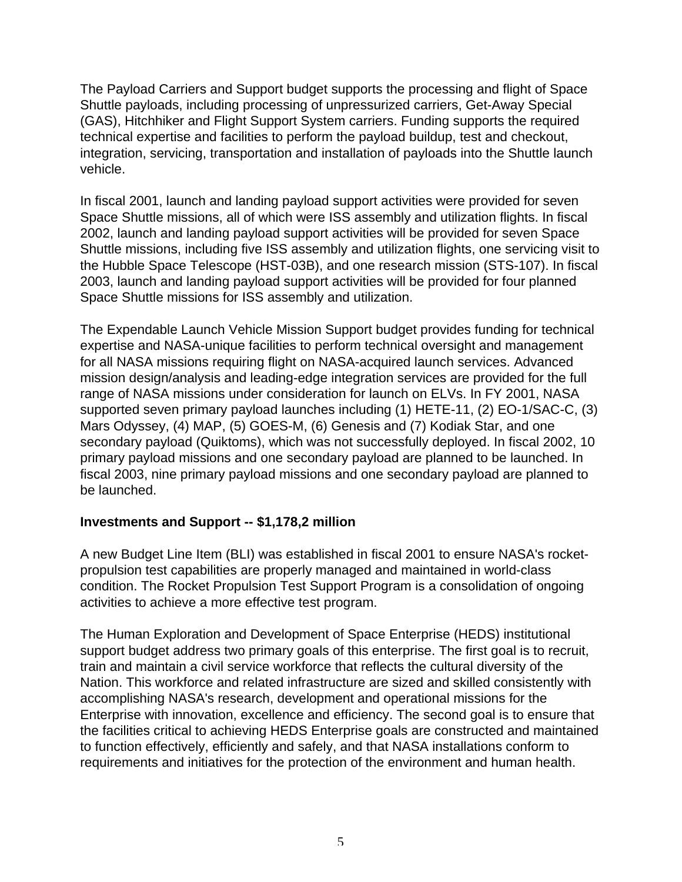The Payload Carriers and Support budget supports the processing and flight of Space Shuttle payloads, including processing of unpressurized carriers, Get-Away Special (GAS), Hitchhiker and Flight Support System carriers. Funding supports the required technical expertise and facilities to perform the payload buildup, test and checkout, integration, servicing, transportation and installation of payloads into the Shuttle launch vehicle.

In fiscal 2001, launch and landing payload support activities were provided for seven Space Shuttle missions, all of which were ISS assembly and utilization flights. In fiscal 2002, launch and landing payload support activities will be provided for seven Space Shuttle missions, including five ISS assembly and utilization flights, one servicing visit to the Hubble Space Telescope (HST-03B), and one research mission (STS-107). In fiscal 2003, launch and landing payload support activities will be provided for four planned Space Shuttle missions for ISS assembly and utilization.

The Expendable Launch Vehicle Mission Support budget provides funding for technical expertise and NASA-unique facilities to perform technical oversight and management for all NASA missions requiring flight on NASA-acquired launch services. Advanced mission design/analysis and leading-edge integration services are provided for the full range of NASA missions under consideration for launch on ELVs. In FY 2001, NASA supported seven primary payload launches including (1) HETE-11, (2) EO-1/SAC-C, (3) Mars Odyssey, (4) MAP, (5) GOES-M, (6) Genesis and (7) Kodiak Star, and one secondary payload (Quiktoms), which was not successfully deployed. In fiscal 2002, 10 primary payload missions and one secondary payload are planned to be launched. In fiscal 2003, nine primary payload missions and one secondary payload are planned to be launched.

### **Investments and Support -- \$1,178,2 million**

A new Budget Line Item (BLI) was established in fiscal 2001 to ensure NASA's rocketpropulsion test capabilities are properly managed and maintained in world-class condition. The Rocket Propulsion Test Support Program is a consolidation of ongoing activities to achieve a more effective test program.

The Human Exploration and Development of Space Enterprise (HEDS) institutional support budget address two primary goals of this enterprise. The first goal is to recruit, train and maintain a civil service workforce that reflects the cultural diversity of the Nation. This workforce and related infrastructure are sized and skilled consistently with accomplishing NASA's research, development and operational missions for the Enterprise with innovation, excellence and efficiency. The second goal is to ensure that the facilities critical to achieving HEDS Enterprise goals are constructed and maintained to function effectively, efficiently and safely, and that NASA installations conform to requirements and initiatives for the protection of the environment and human health.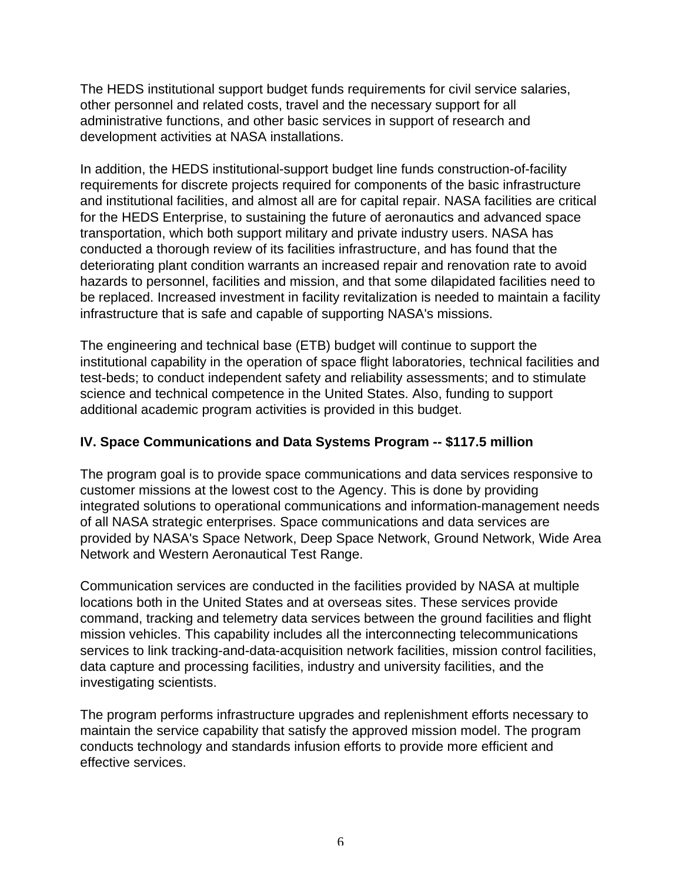The HEDS institutional support budget funds requirements for civil service salaries, other personnel and related costs, travel and the necessary support for all administrative functions, and other basic services in support of research and development activities at NASA installations.

In addition, the HEDS institutional-support budget line funds construction-of-facility requirements for discrete projects required for components of the basic infrastructure and institutional facilities, and almost all are for capital repair. NASA facilities are critical for the HEDS Enterprise, to sustaining the future of aeronautics and advanced space transportation, which both support military and private industry users. NASA has conducted a thorough review of its facilities infrastructure, and has found that the deteriorating plant condition warrants an increased repair and renovation rate to avoid hazards to personnel, facilities and mission, and that some dilapidated facilities need to be replaced. Increased investment in facility revitalization is needed to maintain a facility infrastructure that is safe and capable of supporting NASA's missions.

The engineering and technical base (ETB) budget will continue to support the institutional capability in the operation of space flight laboratories, technical facilities and test-beds; to conduct independent safety and reliability assessments; and to stimulate science and technical competence in the United States. Also, funding to support additional academic program activities is provided in this budget.

# **IV. Space Communications and Data Systems Program -- \$117.5 million**

The program goal is to provide space communications and data services responsive to customer missions at the lowest cost to the Agency. This is done by providing integrated solutions to operational communications and information-management needs of all NASA strategic enterprises. Space communications and data services are provided by NASA's Space Network, Deep Space Network, Ground Network, Wide Area Network and Western Aeronautical Test Range.

Communication services are conducted in the facilities provided by NASA at multiple locations both in the United States and at overseas sites. These services provide command, tracking and telemetry data services between the ground facilities and flight mission vehicles. This capability includes all the interconnecting telecommunications services to link tracking-and-data-acquisition network facilities, mission control facilities, data capture and processing facilities, industry and university facilities, and the investigating scientists.

The program performs infrastructure upgrades and replenishment efforts necessary to maintain the service capability that satisfy the approved mission model. The program conducts technology and standards infusion efforts to provide more efficient and effective services.